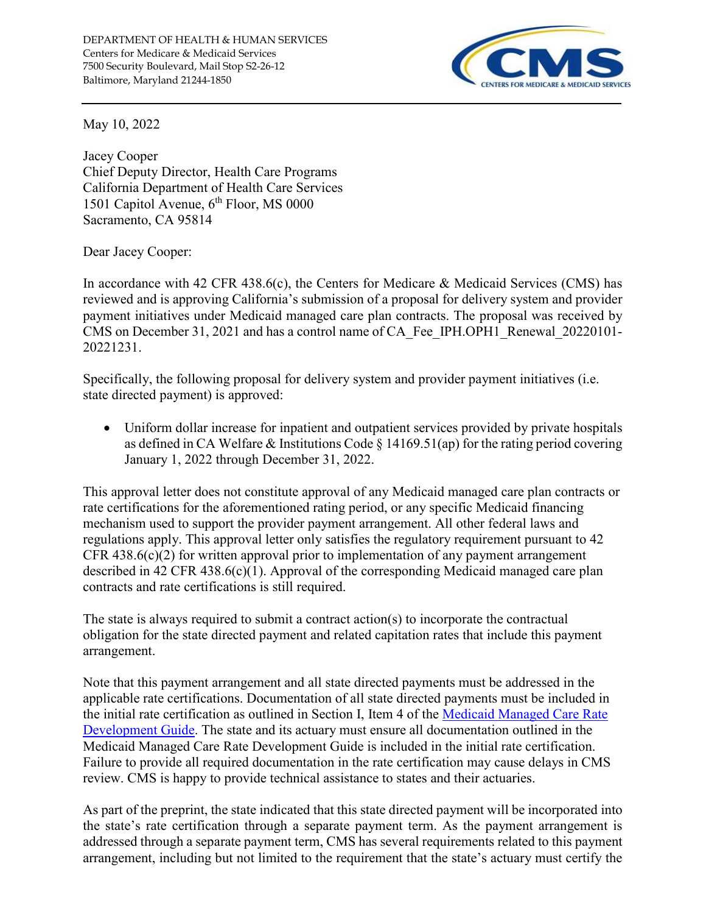

May 10, 2022

Jacey Cooper Chief Deputy Director, Health Care Programs California Department of Health Care Services 1501 Capitol Avenue, 6<sup>th</sup> Floor, MS 0000 Sacramento, CA 95814

Dear Jacey Cooper:

In accordance with 42 CFR 438.6(c), the Centers for Medicare & Medicaid Services (CMS) has reviewed and is approving California's submission of a proposal for delivery system and provider payment initiatives under Medicaid managed care plan contracts. The proposal was received by CMS on December 31, 2021 and has a control name of CA\_Fee\_IPH.OPH1\_Renewal\_20220101- 20221231.

Specifically, the following proposal for delivery system and provider payment initiatives (i.e. state directed payment) is approved:

• Uniform dollar increase for inpatient and outpatient services provided by private hospitals as defined in CA Welfare & Institutions Code § 14169.51(ap) for the rating period covering January 1, 2022 through December 31, 2022.

This approval letter does not constitute approval of any Medicaid managed care plan contracts or rate certifications for the aforementioned rating period, or any specific Medicaid financing mechanism used to support the provider payment arrangement. All other federal laws and regulations apply. This approval letter only satisfies the regulatory requirement pursuant to 42 CFR 438.6(c)(2) for written approval prior to implementation of any payment arrangement described in 42 CFR 438.6(c)(1). Approval of the corresponding Medicaid managed care plan contracts and rate certifications is still required.

The state is always required to submit a contract action(s) to incorporate the contractual obligation for the state directed payment and related capitation rates that include this payment arrangement.

Note that this payment arrangement and all state directed payments must be addressed in the applicable rate certifications. Documentation of all state directed payments must be included in the initial rate certification as outlined in Section I, Item 4 of the [Medicaid Managed Care Rate](https://www.medicaid.gov/medicaid/managed-care/guidance/rate-review-and-rate-guides/index.html)  [Development Guide.](https://www.medicaid.gov/medicaid/managed-care/guidance/rate-review-and-rate-guides/index.html) The state and its actuary must ensure all documentation outlined in the Medicaid Managed Care Rate Development Guide is included in the initial rate certification. Failure to provide all required documentation in the rate certification may cause delays in CMS review. CMS is happy to provide technical assistance to states and their actuaries.

As part of the preprint, the state indicated that this state directed payment will be incorporated into the state's rate certification through a separate payment term. As the payment arrangement is addressed through a separate payment term, CMS has several requirements related to this payment arrangement, including but not limited to the requirement that the state's actuary must certify the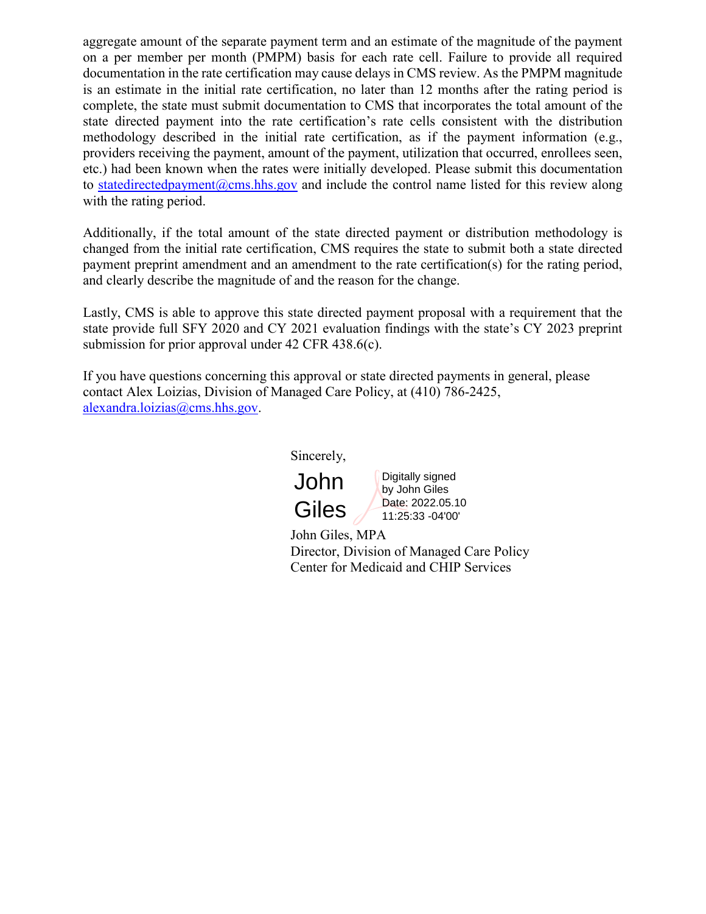aggregate amount of the separate payment term and an estimate of the magnitude of the payment on a per member per month (PMPM) basis for each rate cell. Failure to provide all required documentation in the rate certification may cause delays in CMS review. As the PMPM magnitude is an estimate in the initial rate certification, no later than 12 months after the rating period is complete, the state must submit documentation to CMS that incorporates the total amount of the state directed payment into the rate certification's rate cells consistent with the distribution methodology described in the initial rate certification, as if the payment information (e.g., providers receiving the payment, amount of the payment, utilization that occurred, enrollees seen, etc.) had been known when the rates were initially developed. Please submit this documentation to [statedirectedpayment@cms.hhs.gov](mailto:statedirectedpayment@cms.hhs.gov) and include the control name listed for this review along with the rating period.

Additionally, if the total amount of the state directed payment or distribution methodology is changed from the initial rate certification, CMS requires the state to submit both a state directed payment preprint amendment and an amendment to the rate certification(s) for the rating period, and clearly describe the magnitude of and the reason for the change.

Lastly, CMS is able to approve this state directed payment proposal with a requirement that the state provide full SFY 2020 and CY 2021 evaluation findings with the state's CY 2023 preprint submission for prior approval under 42 CFR 438.6(c).

If you have questions concerning this approval or state directed payments in general, please contact Alex Loizias, Division of Managed Care Policy, at (410) 786-2425, [alexandra.loizias@cms.hhs.gov.](mailto:alexandra.loizias@cms.hhs.gov)

Sincerely,



Digitally signed by John Giles Date: 2022.05.10 11:25:33 -04'00'

John Giles, MPA Director, Division of Managed Care Policy Center for Medicaid and CHIP Services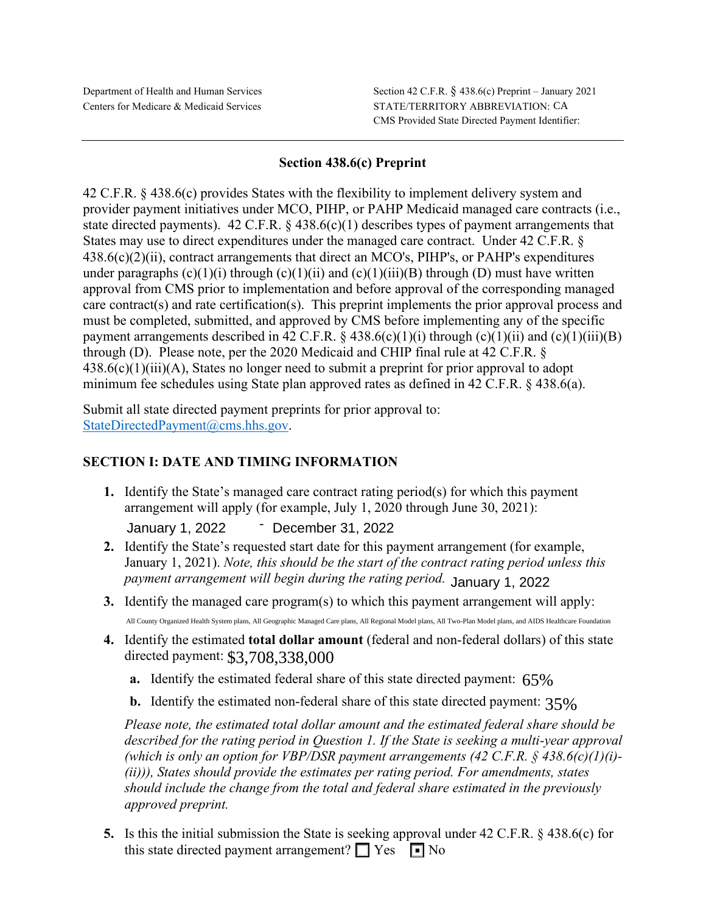## **Section 438.6(c) Preprint**

42 C.F.R. § 438.6(c) provides States with the flexibility to implement delivery system and provider payment initiatives under MCO, PIHP, or PAHP Medicaid managed care contracts (i.e., state directed payments). 42 C.F.R. § 438.6(c)(1) describes types of payment arrangements that States may use to direct expenditures under the managed care contract. Under 42 C.F.R. § 438.6(c)(2)(ii), contract arrangements that direct an MCO's, PIHP's, or PAHP's expenditures under paragraphs  $(c)(1)(i)$  through  $(c)(1)(ii)$  and  $(c)(1)(iii)(B)$  through  $(D)$  must have written approval from CMS prior to implementation and before approval of the corresponding managed care contract(s) and rate certification(s). This preprint implements the prior approval process and must be completed, submitted, and approved by CMS before implementing any of the specific payment arrangements described in 42 C.F.R.  $\S$  438.6(c)(1)(i) through (c)(1)(ii) and (c)(1)(iii)(B) through (D). Please note, per the 2020 Medicaid and CHIP final rule at 42 C.F.R. §  $438.6(c)(1)(iii)(A)$ , States no longer need to submit a preprint for prior approval to adopt minimum fee schedules using State plan approved rates as defined in 42 C.F.R. § 438.6(a).

[Submit all state directed payment pre](mailto:StateDirectedPayment@cms.hhs.gov)prints for prior approval to: [StateDirectedPayment@cms.hhs.gov.](mailto:StateDirectedPayment@cms.hhs.gov)

# **SECTION I: DATE AND TIMING INFORMATION**

**1.** Identify the State's managed care contract rating period(s) for which this payment arrangement will apply (for example, July 1, 2020 through June 30, 2021):

- January 1, 2022 December 31, 2022

- **2.** Identify the State's requested start date for this payment arrangement (for example, January 1, 2021). *Note, this should be the start of the contract rating period unless this payment arrangement will begin during the rating period.* January 1, 2022
- **3.** Identify the managed care program(s) to which this payment arrangement will apply: All County Organized Health System plans, All Geographic Managed Care plans, All Regional Model plans, All Two-Plan Model plans, and AIDS Healthcare Foundation
- **4.** Identify the estimated **total dollar amount** (federal and non-federal dollars) of this state directed payment: \$3,708,338,000
	- **a.** Identify the estimated federal share of this state directed payment: 65%
	- **b.** Identify the estimated non-federal share of this state directed payment: 35%

*Please note, the estimated total dollar amount and the estimated federal share should be described for the rating period in Question 1. If the State is seeking a multi-year approval (which is only an option for VBP/DSR payment arrangements (42 C.F.R. § 438.6(c)(1)(i)- (ii))), States should provide the estimates per rating period. For amendments, states should include the change from the total and federal share estimated in the previously approved preprint.*

**5.** Is this the initial submission the State is seeking approval under 42 C.F.R. § 438.6(c) for this state directed payment arrangement?  $\Box$  Yes  $\Box$  No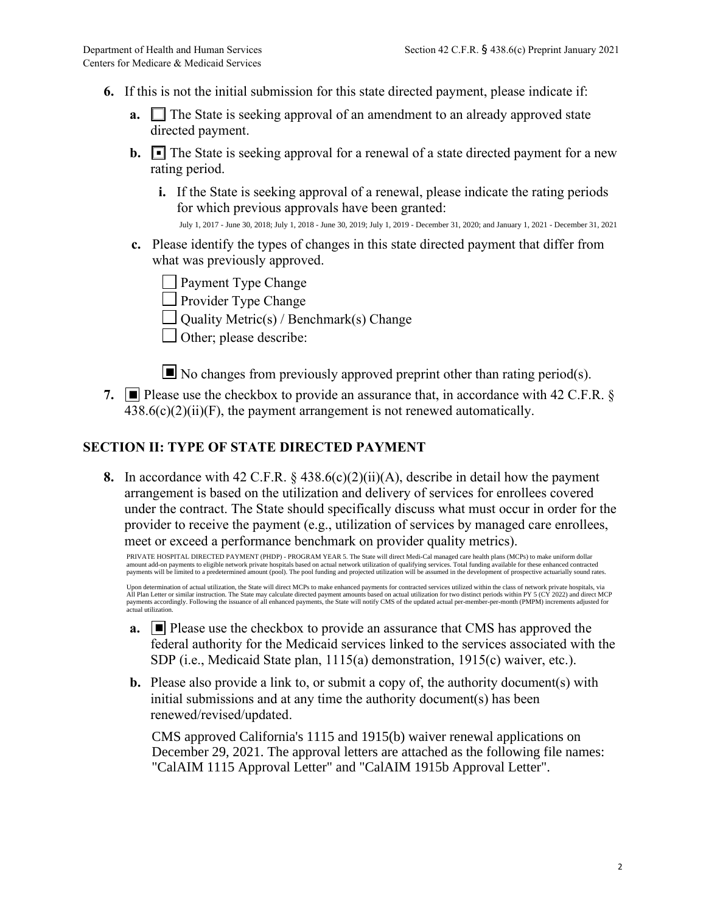- **6.** If this is not the initial submission for this state directed payment, please indicate if:
	- **a.** The State is seeking approval of an amendment to an already approved state directed payment.
	- **b.**  $\blacksquare$  The State is seeking approval for a renewal of a state directed payment for a new rating period.
		- **i.** If the State is seeking approval of a renewal, please indicate the rating periods for which previous approvals have been granted:

July 1, 2017 - June 30, 2018; July 1, 2018 - June 30, 2019; July 1, 2019 - December 31, 2020; and January 1, 2021 - December 31, 2021

**c.** Please identify the types of changes in this state directed payment that differ from what was previously approved.

**Payment Type Change** 

- **Provider Type Change**
- $\Box$  Quality Metric(s) / Benchmark(s) Change
- $\Box$  Other; please describe:

 $\blacksquare$  No changes from previously approved preprint other than rating period(s).

**7.**  $\blacksquare$  Please use the checkbox to provide an assurance that, in accordance with 42 C.F.R. §  $438.6(c)(2)(ii)(F)$ , the payment arrangement is not renewed automatically.

# **SECTION II: TYPE OF STATE DIRECTED PAYMENT**

**8.** In accordance with 42 C.F.R.  $\&$  438.6(c)(2)(ii)(A), describe in detail how the payment arrangement is based on the utilization and delivery of services for enrollees covered under the contract. The State should specifically discuss what must occur in order for the provider to receive the payment (e.g., utilization of services by managed care enrollees, meet or exceed a performance benchmark on provider quality metrics).

PRIVATE HOSPITAL DIRECTED PAYMENT (PHDP) - PROGRAM YEAR 5. The State will direct Medi-Cal managed care health plans (MCPs) to make uniform dollar amount add-on payments to eligible network private hospitals based on actual network utilization of qualifying services. Total funding available for these enhanced contracted<br>payments will be limited to a predetermined amo

Upon determination of actual utilization, the State will direct MCPs to make enhanced payments for contracted services utilized within the class of network private hospitals, via All Plan Letter or similar instruction. The State may calculate directed payment amounts based on actual utilization for two distinct periods within PY 5 (CY 2022) and direct MCP<br>payments accordingly. Following the issuanc

- **a.** Please use the checkbox to provide an assurance that CMS has approved the federal authority for the Medicaid services linked to the services associated with the SDP (i.e., Medicaid State plan, 1115(a) demonstration, 1915(c) waiver, etc.).
- **b.** Please also provide a link to, or submit a copy of, the authority document(s) with initial submissions and at any time the authority document(s) has been renewed/revised/updated.

CMS approved California's 1115 and 1915(b) waiver renewal applications on December 29, 2021. The approval letters are attached as the following file names: "CalAIM 1115 Approval Letter" and "CalAIM 1915b Approval Letter".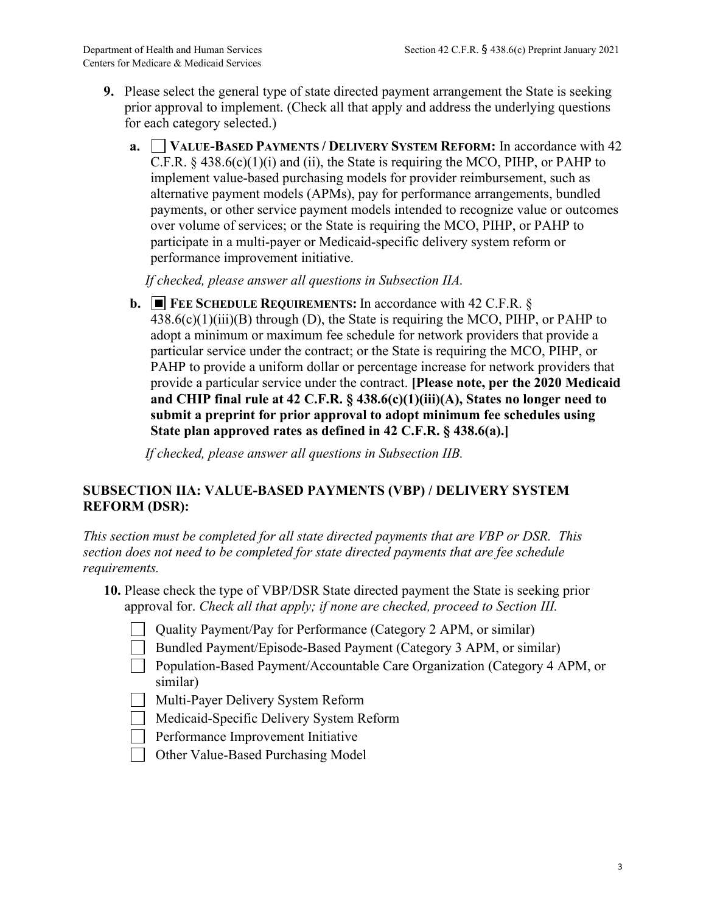- **9.** Please select the general type of state directed payment arrangement the State is seeking prior approval to implement. (Check all that apply and address the underlying questions for each category selected.)
	- **a. VALUE-BASED PAYMENTS / DELIVERY SYSTEM REFORM:** In accordance with 42 C.F.R.  $\S$  438.6(c)(1)(i) and (ii), the State is requiring the MCO, PIHP, or PAHP to implement value-based purchasing models for provider reimbursement, such as alternative payment models (APMs), pay for performance arrangements, bundled payments, or other service payment models intended to recognize value or outcomes over volume of services; or the State is requiring the MCO, PIHP, or PAHP to participate in a multi-payer or Medicaid-specific delivery system reform or performance improvement initiative.

*If checked, please answer all questions in Subsection IIA.*

**b.** ■ FEE SCHEDULE REQUIREMENTS: In accordance with 42 C.F.R. §  $438.6(c)(1)(iii)(B)$  through (D), the State is requiring the MCO, PIHP, or PAHP to adopt a minimum or maximum fee schedule for network providers that provide a particular service under the contract; or the State is requiring the MCO, PIHP, or PAHP to provide a uniform dollar or percentage increase for network providers that provide a particular service under the contract. **[Please note, per the 2020 Medicaid and CHIP final rule at 42 C.F.R. § 438.6(c)(1)(iii)(A), States no longer need to submit a preprint for prior approval to adopt minimum fee schedules using State plan approved rates as defined in 42 C.F.R. § 438.6(a).]**

*If checked, please answer all questions in Subsection IIB.*

## **SUBSECTION IIA: VALUE-BASED PAYMENTS (VBP) / DELIVERY SYSTEM REFORM (DSR):**

*This section must be completed for all state directed payments that are VBP or DSR. This section does not need to be completed for state directed payments that are fee schedule requirements.*

- **10.** Please check the type of VBP/DSR State directed payment the State is seeking prior approval for. *Check all that apply; if none are checked, proceed to Section III.*
	- Quality Payment/Pay for Performance (Category 2 APM, or similar)
	- Bundled Payment/Episode-Based Payment (Category 3 APM, or similar)
	- Population-Based Payment/Accountable Care Organization (Category 4 APM, or similar)
	- Multi-Payer Delivery System Reform
	- Medicaid-Specific Delivery System Reform
	- **Performance Improvement Initiative**
	- □ Other Value-Based Purchasing Model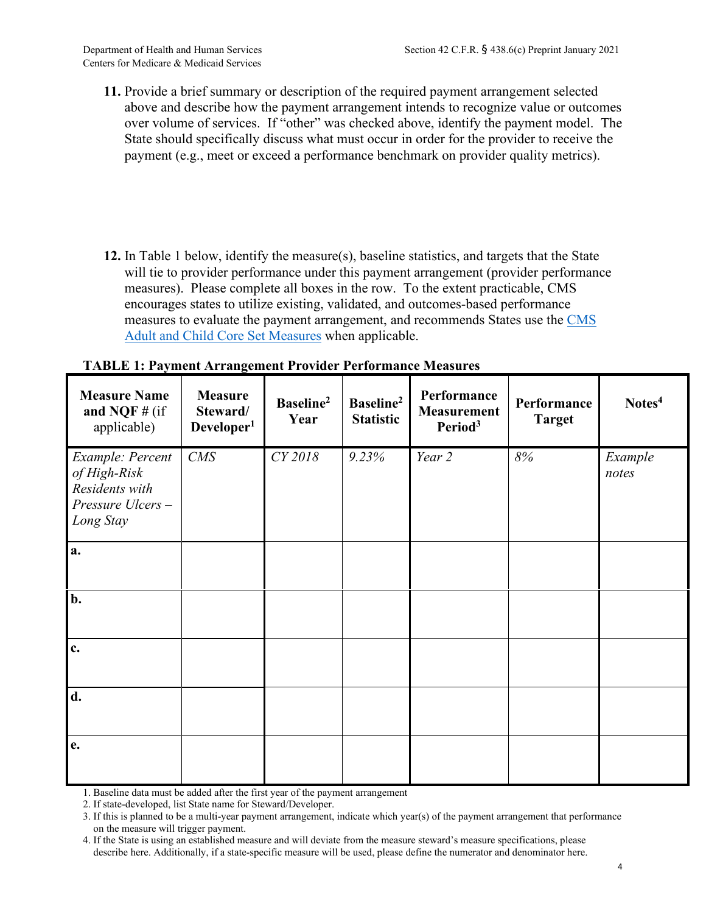- **11.** Provide a brief summary or description of the required payment arrangement selected above and describe how the payment arrangement intends to recognize value or outcomes over volume of services. If "other" was checked above, identify the payment model. The State should specifically discuss what must occur in order for the provider to receive the payment (e.g., meet or exceed a performance benchmark on provider quality metrics).
- **12.** In Table 1 below, identify the measure(s), baseline statistics, and targets that the State will tie to provider performance under this payment arrangement (provider performance measures). Please complete all boxes in the row. To the extent practicable, CMS encourages states to utilize existing, validated, and outcomes-based performance measures to evaluate the payment arrangement, and recommends States use the [CMS](https://www.medicaid.gov/medicaid/quality-of-care/quality-of-care-performance-measurement/adult-and-child-health-care-quality-measures/index.html) [Adult and Child Core Set Measures](https://www.medicaid.gov/medicaid/quality-of-care/quality-of-care-performance-measurement/adult-and-child-health-care-quality-measures/index.html) when applicable.

| <b>Measure Name</b><br>and NQF $#$ (if<br>applicable)                               | <b>Measure</b><br>Steward/<br>Developer <sup>1</sup> | Baseline <sup>2</sup><br>Year | Baseline <sup>2</sup><br><b>Statistic</b> | Performance<br><b>Measurement</b><br>Period <sup>3</sup> | Performance<br><b>Target</b> | Notes <sup>4</sup> |
|-------------------------------------------------------------------------------------|------------------------------------------------------|-------------------------------|-------------------------------------------|----------------------------------------------------------|------------------------------|--------------------|
| Example: Percent<br>of High-Risk<br>Residents with<br>Pressure Ulcers-<br>Long Stay | CMS                                                  | CY 2018                       | 9.23%                                     | Year 2                                                   | $8\%$                        | Example<br>notes   |
| a.                                                                                  |                                                      |                               |                                           |                                                          |                              |                    |
| b.                                                                                  |                                                      |                               |                                           |                                                          |                              |                    |
| $\mathbf{c}$ .                                                                      |                                                      |                               |                                           |                                                          |                              |                    |
| d.                                                                                  |                                                      |                               |                                           |                                                          |                              |                    |
| e.                                                                                  |                                                      |                               |                                           |                                                          |                              |                    |

#### **TABLE 1: Payment Arrangement Provider Performance Measures**

1. Baseline data must be added after the first year of the payment arrangement

2. If state-developed, list State name for Steward/Developer.

<sup>3.</sup> If this is planned to be a multi-year payment arrangement, indicate which year(s) of the payment arrangement that performance on the measure will trigger payment.

<sup>4.</sup> If the State is using an established measure and will deviate from the measure steward's measure specifications, please describe here. Additionally, if a state-specific measure will be used, please define the numerator and denominator here.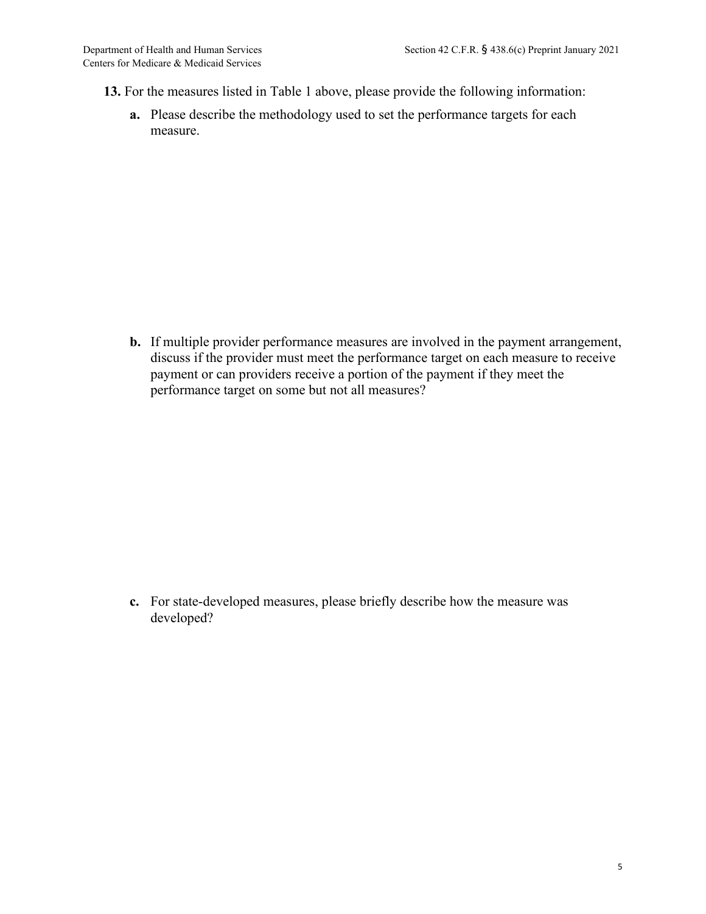- **13.** For the measures listed in Table 1 above, please provide the following information:
	- **a.** Please describe the methodology used to set the performance targets for each measure.

**b.** If multiple provider performance measures are involved in the payment arrangement, discuss if the provider must meet the performance target on each measure to receive payment or can providers receive a portion of the payment if they meet the performance target on some but not all measures?

**c.** For state-developed measures, please briefly describe how the measure was developed?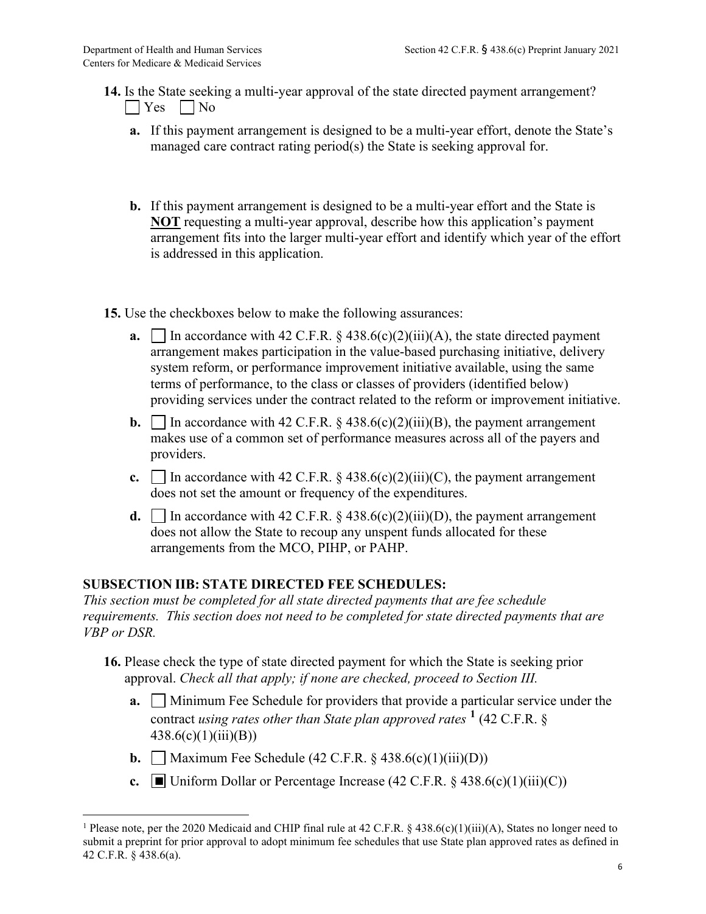- **14.** Is the State seeking a multi-year approval of the state directed payment arrangement?  $\Box$  Yes  $\Box$  No
	- **a.** If this payment arrangement is designed to be a multi-year effort, denote the State's managed care contract rating period(s) the State is seeking approval for.
	- **b.** If this payment arrangement is designed to be a multi-year effort and the State is **NOT** requesting a multi-year approval, describe how this application's payment arrangement fits into the larger multi-year effort and identify which year of the effort is addressed in this application.
- **15.** Use the checkboxes below to make the following assurances:
	- **a.**  $\Box$  In accordance with 42 C.F.R. § 438.6(c)(2)(iii)(A), the state directed payment arrangement makes participation in the value-based purchasing initiative, delivery system reform, or performance improvement initiative available, using the same terms of performance, to the class or classes of providers (identified below) providing services under the contract related to the reform or improvement initiative.
	- **b.** In accordance with 42 C.F.R. § 438.6(c)(2)(iii)(B), the payment arrangement makes use of a common set of performance measures across all of the payers and providers.
	- **c.**  $\Box$  In accordance with 42 C.F.R.  $\&$  438.6(c)(2)(iii)(C), the payment arrangement does not set the amount or frequency of the expenditures.
	- **d.**  $\Box$  In accordance with 42 C.F.R. § 438.6(c)(2)(iii)(D), the payment arrangement does not allow the State to recoup any unspent funds allocated for these arrangements from the MCO, PIHP, or PAHP.

# **SUBSECTION IIB: STATE DIRECTED FEE SCHEDULES:**

*This section must be completed for all state directed payments that are fee schedule requirements. This section does not need to be completed for state directed payments that are VBP or DSR.*

- **16.** Please check the type of state directed payment for which the State is seeking prior approval. *Check all that apply; if none are checked, proceed to Section III.*
	- **a.** Minimum Fee Schedule for providers that provide a particular service under the contract *using rates other than State plan approved rates* **[1](#page-7-0)** (42 C.F.R. §  $438.6(c)(1)(iii)(B))$
	- **b.**  $\Box$  Maximum Fee Schedule (42 C.F.R.  $\&$  438.6(c)(1)(iii)(D))
	- **c.**  $\Box$  Uniform Dollar or Percentage Increase (42 C.F.R. § 438.6(c)(1)(iii)(C))

<span id="page-7-0"></span><sup>&</sup>lt;sup>1</sup> Please note, per the 2020 Medicaid and CHIP final rule at 42 C.F.R. § 438.6(c)(1)(iii)(A), States no longer need to submit a preprint for prior approval to adopt minimum fee schedules that use State plan approved rates as defined in 42 C.F.R. § 438.6(a).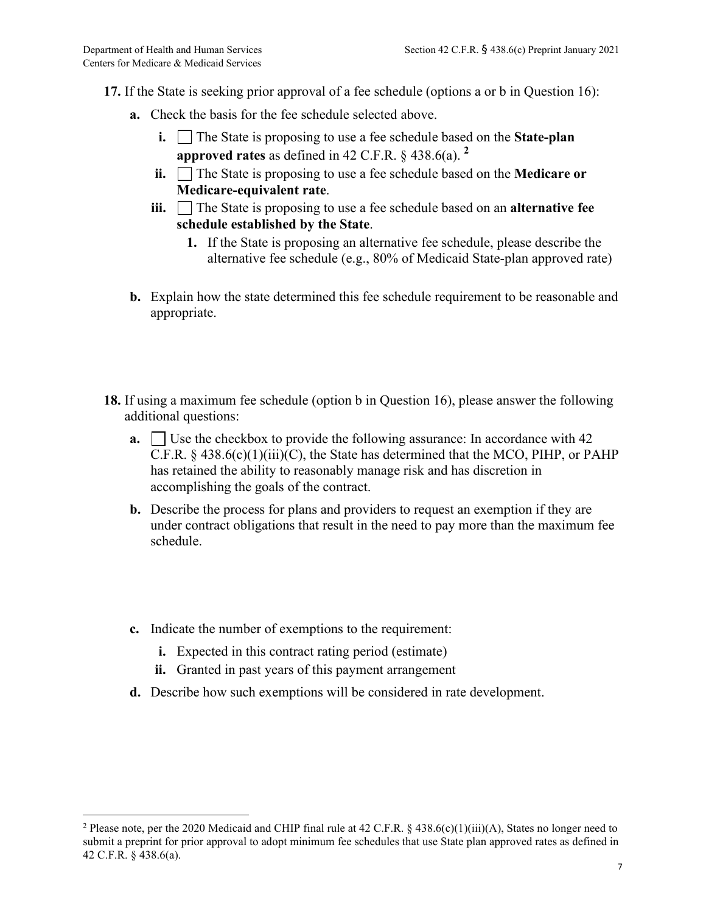- **17.** If the State is seeking prior approval of a fee schedule (options a or b in Question 16):
	- **a.** Check the basis for the fee schedule selected above.
		- **i.** The State is proposing to use a fee schedule based on the **State-plan approved rates** as defined in 42 C.F.R. § 438.6(a). **[2](#page-8-0)**
		- **ii.** The State is proposing to use a fee schedule based on the **Medicare or Medicare-equivalent rate**.
		- **iii.** The State is proposing to use a fee schedule based on an **alternative fee schedule established by the State**.
			- **1.** If the State is proposing an alternative fee schedule, please describe the alternative fee schedule (e.g., 80% of Medicaid State-plan approved rate)
	- **b.** Explain how the state determined this fee schedule requirement to be reasonable and appropriate.
- **18.** If using a maximum fee schedule (option b in Question 16), please answer the following additional questions:
	- **a.**  $\Box$  Use the checkbox to provide the following assurance: In accordance with 42 C.F.R.  $\S$  438.6(c)(1)(iii)(C), the State has determined that the MCO, PIHP, or PAHP has retained the ability to reasonably manage risk and has discretion in accomplishing the goals of the contract.
	- **b.** Describe the process for plans and providers to request an exemption if they are under contract obligations that result in the need to pay more than the maximum fee schedule.
	- **c.** Indicate the number of exemptions to the requirement:
		- **i.** Expected in this contract rating period (estimate)
		- **ii.** Granted in past years of this payment arrangement
	- **d.** Describe how such exemptions will be considered in rate development.

<span id="page-8-0"></span><sup>&</sup>lt;sup>2</sup> Please note, per the 2020 Medicaid and CHIP final rule at 42 C.F.R. § 438.6(c)(1)(iii)(A), States no longer need to submit a preprint for prior approval to adopt minimum fee schedules that use State plan approved rates as defined in 42 C.F.R. § 438.6(a).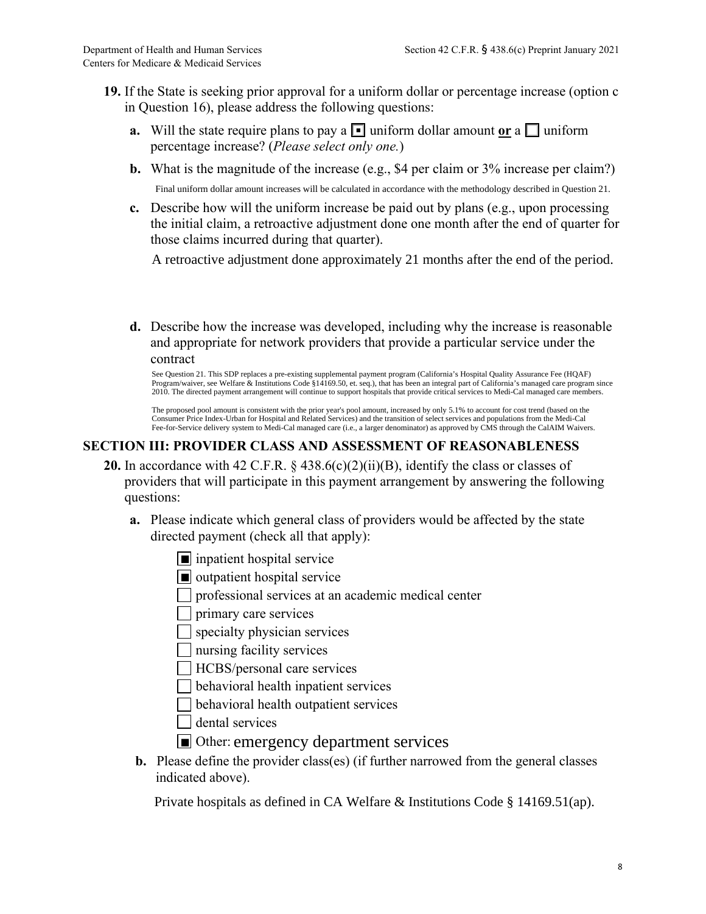- **19.** If the State is seeking prior approval for a uniform dollar or percentage increase (option c in Question 16), please address the following questions:
	- **a.** Will the state require plans to pay a  $\blacksquare$  uniform dollar amount or a  $\blacksquare$  uniform percentage increase? (*Please select only one.*)
	- **b.** What is the magnitude of the increase (e.g., \$4 per claim or 3% increase per claim?) Final uniform dollar amount increases will be calculated in accordance with the methodology described in Question 21.
	- **c.** Describe how will the uniform increase be paid out by plans (e.g., upon processing the initial claim, a retroactive adjustment done one month after the end of quarter for those claims incurred during that quarter).

A retroactive adjustment done approximately 21 months after the end of the period.

**d.** Describe how the increase was developed, including why the increase is reasonable and appropriate for network providers that provide a particular service under the contract

See Question 21. This SDP replaces a pre-existing supplemental payment program (California's Hospital Quality Assurance Fee (HQAF) Program/waiver, see Welfare & Institutions Code §14169.50, et. seq.), that has been an integral part of California's managed care program since 2010. The directed payment arrangement will continue to support hospitals that provide critical services to Medi-Cal managed care members.

The proposed pool amount is consistent with the prior year's pool amount, increased by only 5.1% to account for cost trend (based on the Consumer Price Index-Urban for Hospital and Related Services) and the transition of select services and populations from the Medi-Cal Fee-for-Service delivery system to Medi-Cal managed care (i.e., a larger denominator) as approved by CMS through the CalAIM Waivers.

## **SECTION III: PROVIDER CLASS AND ASSESSMENT OF REASONABLENESS**

- **20.** In accordance with 42 C.F.R. § 438.6(c)(2)(ii)(B), identify the class or classes of providers that will participate in this payment arrangement by answering the following questions:
	- **a.** Please indicate which general class of providers would be affected by the state directed payment (check all that apply):
		- inpatient hospital service
		- outpatient hospital service
		- professional services at an academic medical center

primary care services

 $\Box$  specialty physician services

nursing facility services

HCBS/personal care services

 $\Box$  behavioral health inpatient services

behavioral health outpatient services

dental services

- Other: emergency department services
- **b.** Please define the provider class(es) (if further narrowed from the general classes indicated above).

Private hospitals as defined in CA Welfare & Institutions Code § 14169.51(ap).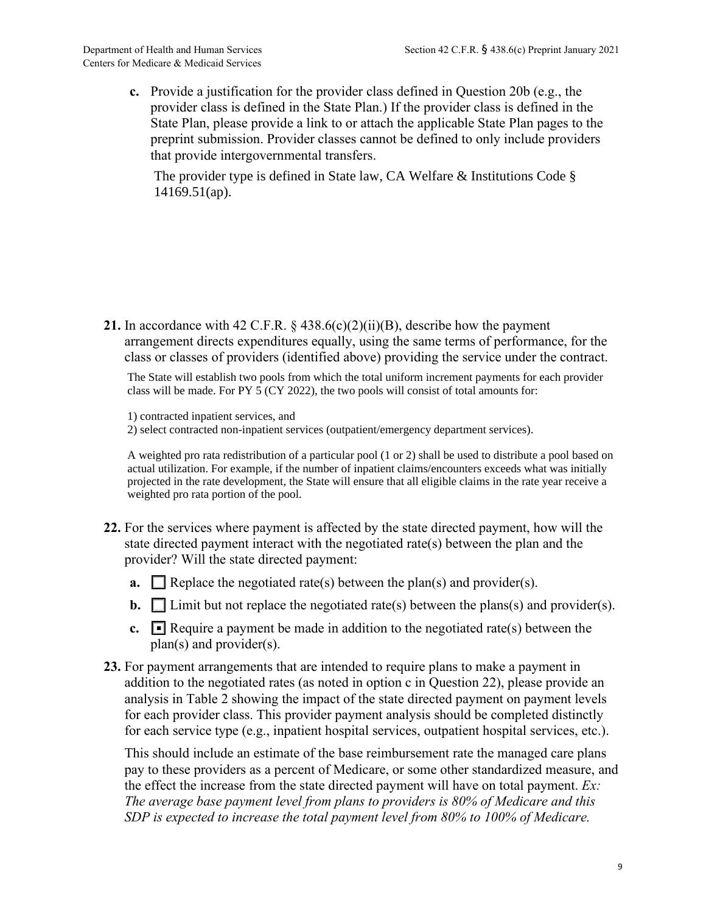**c.** Provide a justification for the provider class defined in Question 20b (e.g., the provider class is defined in the State Plan.) If the provider class is defined in the State Plan, please provide a link to or attach the applicable State Plan pages to the preprint submission. Provider classes cannot be defined to only include providers that provide intergovernmental transfers.

The provider type is defined in State law, CA Welfare & Institutions Code § 14169.51(ap).

**21.** In accordance with 42 C.F.R.  $\&$  438.6(c)(2)(ii)(B), describe how the payment arrangement directs expenditures equally, using the same terms of performance, for the class or classes of providers (identified above) providing the service under the contract.

The State will establish two pools from which the total uniform increment payments for each provider class will be made. For PY 5 (CY 2022), the two pools will consist of total amounts for:

1) contracted inpatient services, and

2) select contracted non-inpatient services (outpatient/emergency department services).

A weighted pro rata redistribution of a particular pool (1 or 2) shall be used to distribute a pool based on actual utilization. For example, if the number of inpatient claims/encounters exceeds what was initially projected in the rate development, the State will ensure that all eligible claims in the rate year receive a weighted pro rata portion of the pool.

- **22.** For the services where payment is affected by the state directed payment, how will the state directed payment interact with the negotiated rate(s) between the plan and the provider? Will the state directed payment:
	- **a.**  $\Box$  Replace the negotiated rate(s) between the plan(s) and provider(s).
	- **b.**  $\Box$  Limit but not replace the negotiated rate(s) between the plans(s) and provider(s).
	- **c.**  $\blacksquare$  Require a payment be made in addition to the negotiated rate(s) between the plan(s) and provider(s).
- **23.** For payment arrangements that are intended to require plans to make a payment in addition to the negotiated rates (as noted in option c in Question 22), please provide an analysis in Table 2 showing the impact of the state directed payment on payment levels for each provider class. This provider payment analysis should be completed distinctly for each service type (e.g., inpatient hospital services, outpatient hospital services, etc.).

This should include an estimate of the base reimbursement rate the managed care plans pay to these providers as a percent of Medicare, or some other standardized measure, and the effect the increase from the state directed payment will have on total payment. *Ex: The average base payment level from plans to providers is 80% of Medicare and this SDP is expected to increase the total payment level from 80% to 100% of Medicare.*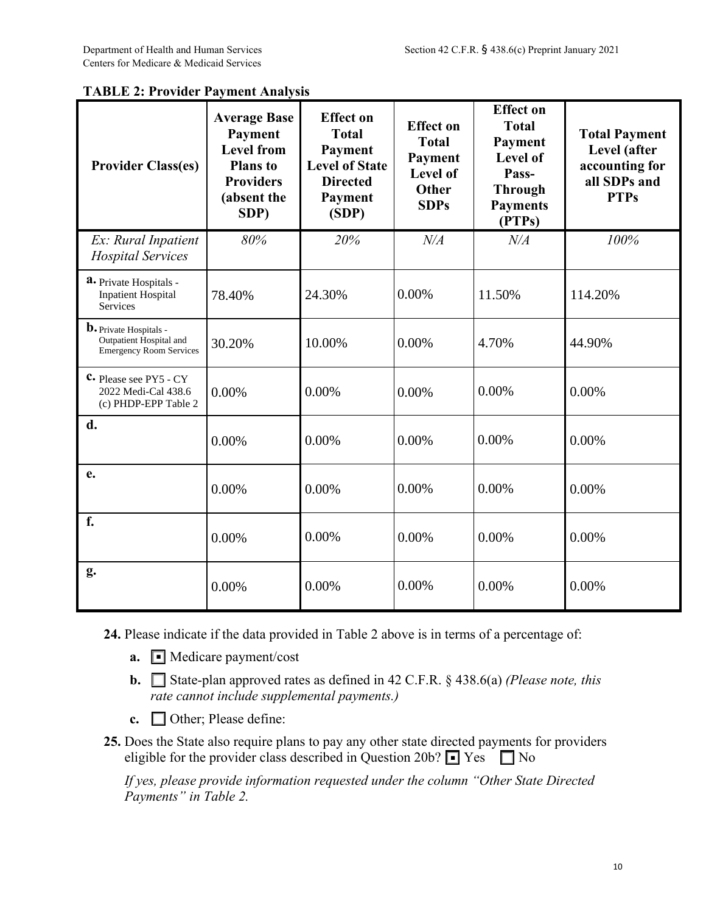| <b>Provider Class(es)</b>                                                                  | <b>Average Base</b><br><b>Payment</b><br><b>Level from</b><br><b>Plans</b> to<br><b>Providers</b><br>(absent the<br>SDP) | <b>Effect</b> on<br><b>Total</b><br>Payment<br><b>Level of State</b><br><b>Directed</b><br>Payment<br>(SDP) | <b>Effect on</b><br><b>Total</b><br>Payment<br>Level of<br>Other<br><b>SDPs</b> | <b>Effect on</b><br><b>Total</b><br>Payment<br>Level of<br>Pass-<br><b>Through</b><br><b>Payments</b><br>(PTPs) | <b>Total Payment</b><br>Level (after<br>accounting for<br>all SDPs and<br><b>PTPs</b> |
|--------------------------------------------------------------------------------------------|--------------------------------------------------------------------------------------------------------------------------|-------------------------------------------------------------------------------------------------------------|---------------------------------------------------------------------------------|-----------------------------------------------------------------------------------------------------------------|---------------------------------------------------------------------------------------|
| Ex: Rural Inpatient<br><b>Hospital Services</b>                                            | 80%                                                                                                                      | 20%                                                                                                         | N/A                                                                             | N/A                                                                                                             | 100%                                                                                  |
| a. Private Hospitals -<br><b>Inpatient Hospital</b><br><b>Services</b>                     | 78.40%                                                                                                                   | 24.30%                                                                                                      | 0.00%                                                                           | 11.50%                                                                                                          | 114.20%                                                                               |
| <b>b.</b> Private Hospitals -<br>Outpatient Hospital and<br><b>Emergency Room Services</b> | 30.20%                                                                                                                   | 10.00%                                                                                                      | 0.00%                                                                           | 4.70%                                                                                                           | 44.90%                                                                                |
| $C$ Please see PY5 - CY<br>2022 Medi-Cal 438.6<br>(c) PHDP-EPP Table 2                     | 0.00%                                                                                                                    | 0.00%                                                                                                       | 0.00%                                                                           | 0.00%                                                                                                           | 0.00%                                                                                 |
| d.                                                                                         | 0.00%                                                                                                                    | 0.00%                                                                                                       | 0.00%                                                                           | 0.00%                                                                                                           | 0.00%                                                                                 |
| e.                                                                                         | 0.00%                                                                                                                    | 0.00%                                                                                                       | 0.00%                                                                           | 0.00%                                                                                                           | 0.00%                                                                                 |
| f.                                                                                         | 0.00%                                                                                                                    | 0.00%                                                                                                       | 0.00%                                                                           | 0.00%                                                                                                           | 0.00%                                                                                 |
| g.                                                                                         | 0.00%                                                                                                                    | 0.00%                                                                                                       | 0.00%                                                                           | 0.00%                                                                                                           | 0.00%                                                                                 |

### **TABLE 2: Provider Payment Analysis**

- **24.** Please indicate if the data provided in Table 2 above is in terms of a percentage of:
	- **a.** Medicare payment/cost
	- **b.** □ State-plan approved rates as defined in 42 C.F.R. § 438.6(a) *(Please note, this rate cannot include supplemental payments.)*
	- **c.** Other; Please define:
- **25.** Does the State also require plans to pay any other state directed payments for providers eligible for the provider class described in Question 20b?  $\blacksquare$  Yes  $\blacksquare$  No

*If yes, please provide information requested under the column "Other State Directed Payments" in Table 2.*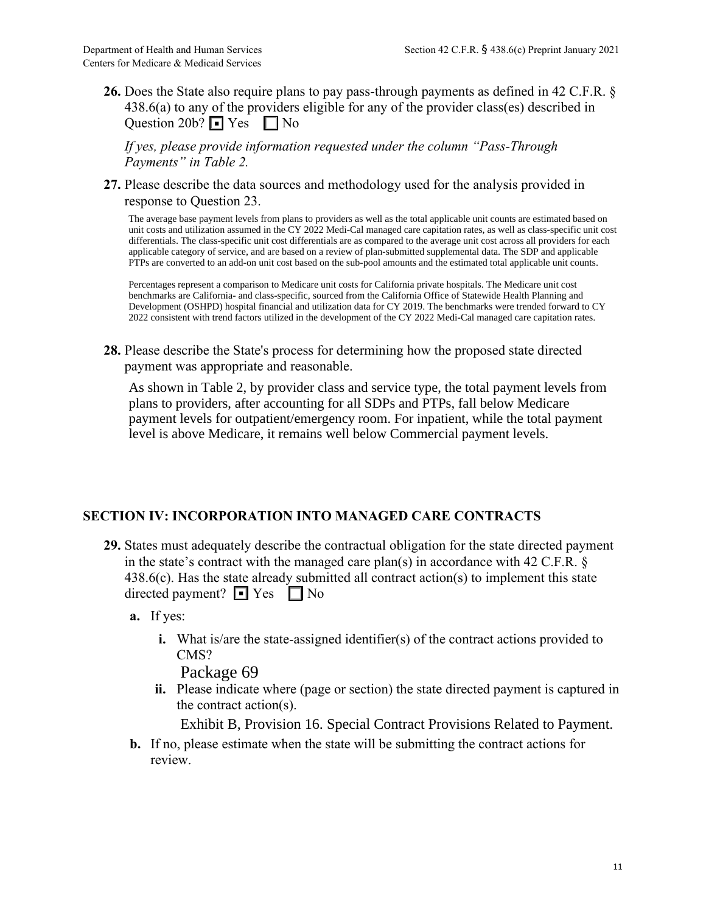**26.** Does the State also require plans to pay pass-through payments as defined in 42 C.F.R. § 438.6(a) to any of the providers eligible for any of the provider class(es) described in Question 20b?  $\blacksquare$  Yes  $\blacksquare$  No

*If yes, please provide information requested under the column "Pass-Through Payments" in Table 2.*

**27.** Please describe the data sources and methodology used for the analysis provided in response to Question 23.

The average base payment levels from plans to providers as well as the total applicable unit counts are estimated based on unit costs and utilization assumed in the CY 2022 Medi-Cal managed care capitation rates, as well as class-specific unit cost differentials. The class-specific unit cost differentials are as compared to the average unit cost across all providers for each applicable category of service, and are based on a review of plan-submitted supplemental data. The SDP and applicable PTPs are converted to an add-on unit cost based on the sub-pool amounts and the estimated total applicable unit counts.

Percentages represent a comparison to Medicare unit costs for California private hospitals. The Medicare unit cost benchmarks are California- and class-specific, sourced from the California Office of Statewide Health Planning and Development (OSHPD) hospital financial and utilization data for CY 2019. The benchmarks were trended forward to CY 2022 consistent with trend factors utilized in the development of the CY 2022 Medi-Cal managed care capitation rates.

**28.** Please describe the State's process for determining how the proposed state directed payment was appropriate and reasonable.

As shown in Table 2, by provider class and service type, the total payment levels from plans to providers, after accounting for all SDPs and PTPs, fall below Medicare payment levels for outpatient/emergency room. For inpatient, while the total payment level is above Medicare, it remains well below Commercial payment levels.

### **SECTION IV: INCORPORATION INTO MANAGED CARE CONTRACTS**

- **29.** States must adequately describe the contractual obligation for the state directed payment in the state's contract with the managed care plan(s) in accordance with 42 C.F.R.  $\S$ 438.6(c). Has the state already submitted all contract action(s) to implement this state directed payment? ■ Yes ■ No
	- **a.** If yes:
		- **i.** What is/are the state-assigned identifier(s) of the contract actions provided to CMS?

Package 69

**ii.** Please indicate where (page or section) the state directed payment is captured in the contract action(s).

Exhibit B, Provision 16. Special Contract Provisions Related to Payment.

**b.** If no, please estimate when the state will be submitting the contract actions for review.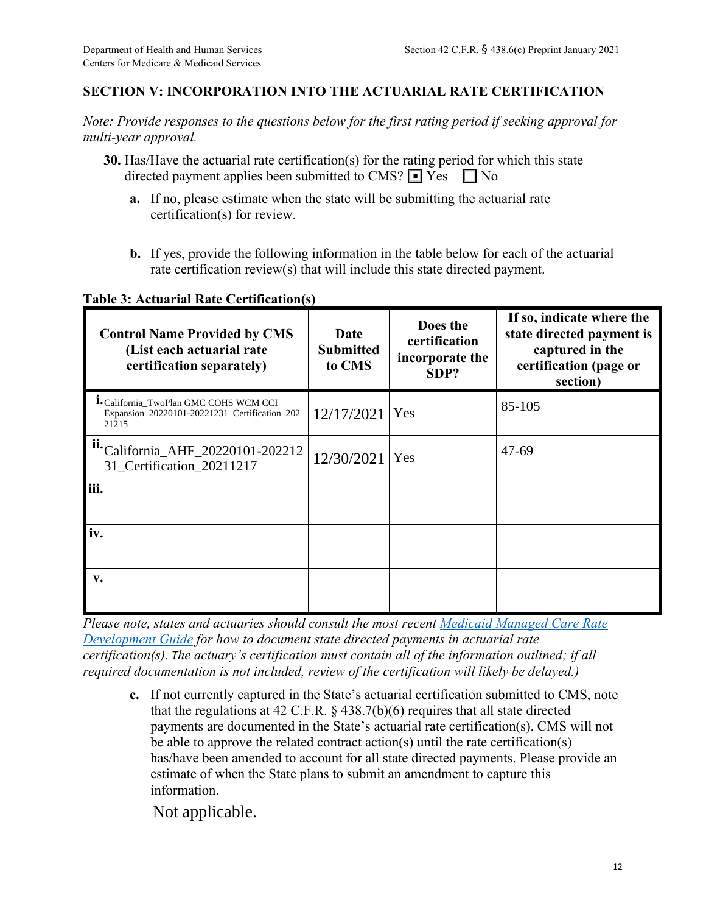## **SECTION V: INCORPORATION INTO THE ACTUARIAL RATE CERTIFICATION**

*Note: Provide responses to the questions below for the first rating period if seeking approval for multi-year approval.*

- **30.** Has/Have the actuarial rate certification(s) for the rating period for which this state directed payment applies been submitted to CMS?  $\blacksquare$  Yes  $\blacksquare$  No
	- **a.** If no, please estimate when the state will be submitting the actuarial rate certification(s) for review.
	- **b.** If yes, provide the following information in the table below for each of the actuarial rate certification review(s) that will include this state directed payment.

**Table 3: Actuarial Rate Certification(s)**

| <b>Control Name Provided by CMS</b><br>(List each actuarial rate<br>certification separately)                                                                                                                                                                                                                                                                                                                                                                                                                                                                                                                                                                                                                                                                                                                                                                                                                                                      | Date<br><b>Submitted</b><br>to CMS | Does the<br>certification<br>incorporate the<br>SDP? | If so, indicate where the<br>state directed payment is<br>captured in the<br>certification (page or<br>section) |
|----------------------------------------------------------------------------------------------------------------------------------------------------------------------------------------------------------------------------------------------------------------------------------------------------------------------------------------------------------------------------------------------------------------------------------------------------------------------------------------------------------------------------------------------------------------------------------------------------------------------------------------------------------------------------------------------------------------------------------------------------------------------------------------------------------------------------------------------------------------------------------------------------------------------------------------------------|------------------------------------|------------------------------------------------------|-----------------------------------------------------------------------------------------------------------------|
| <sup>1</sup> •California_TwoPlan GMC COHS WCM CCI<br>Expansion_20220101-20221231_Certification_202<br>21215                                                                                                                                                                                                                                                                                                                                                                                                                                                                                                                                                                                                                                                                                                                                                                                                                                        | 12/17/2021                         | Yes                                                  | 85-105                                                                                                          |
| ii.California_AHF_20220101-202212<br>31_Certification_20211217                                                                                                                                                                                                                                                                                                                                                                                                                                                                                                                                                                                                                                                                                                                                                                                                                                                                                     | 12/30/2021                         | Yes                                                  | $47 - 69$                                                                                                       |
| iii.                                                                                                                                                                                                                                                                                                                                                                                                                                                                                                                                                                                                                                                                                                                                                                                                                                                                                                                                               |                                    |                                                      |                                                                                                                 |
| iv.                                                                                                                                                                                                                                                                                                                                                                                                                                                                                                                                                                                                                                                                                                                                                                                                                                                                                                                                                |                                    |                                                      |                                                                                                                 |
| v.                                                                                                                                                                                                                                                                                                                                                                                                                                                                                                                                                                                                                                                                                                                                                                                                                                                                                                                                                 |                                    |                                                      |                                                                                                                 |
| Please note, states and actuaries should consult the most recent Medicaid Managed Care Rate<br><b>Development Guide for how to document state directed payments in actuarial rate</b><br>certification(s). The actuary's certification must contain all of the information outlined; if all<br>required documentation is not included, review of the certification will likely be delayed.)<br>c. If not currently captured in the State's actuarial certification submitted to CMS, note<br>that the regulations at 42 C.F.R. $\S$ 438.7(b)(6) requires that all state directed<br>payments are documented in the State's actuarial rate certification(s). CMS will not<br>be able to approve the related contract $\arctan(s)$ until the rate certification(s)<br>has/have been amended to account for all state directed payments. Please provide an<br>estimate of when the State plans to submit an amendment to capture this<br>information. |                                    |                                                      |                                                                                                                 |
| Not applicable.                                                                                                                                                                                                                                                                                                                                                                                                                                                                                                                                                                                                                                                                                                                                                                                                                                                                                                                                    |                                    |                                                      |                                                                                                                 |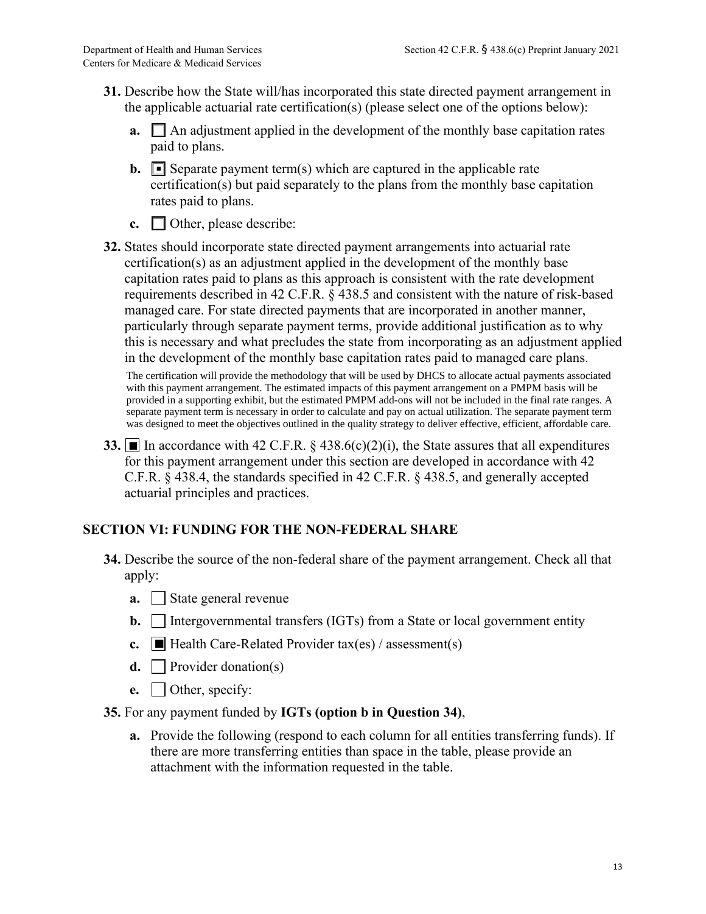- **31.** Describe how the State will/has incorporated this state directed payment arrangement in the applicable actuarial rate certification(s) (please select one of the options below):
	- **a.**  $\Box$  An adjustment applied in the development of the monthly base capitation rates paid to plans.
	- **b.**  $\blacksquare$  Separate payment term(s) which are captured in the applicable rate certification(s) but paid separately to the plans from the monthly base capitation rates paid to plans.
	- **c.** Other, please describe:
- **32.** States should incorporate state directed payment arrangements into actuarial rate certification(s) as an adjustment applied in the development of the monthly base capitation rates paid to plans as this approach is consistent with the rate development requirements described in 42 C.F.R. § 438.5 and consistent with the nature of risk-based managed care. For state directed payments that are incorporated in another manner, particularly through separate payment terms, provide additional justification as to why this is necessary and what precludes the state from incorporating as an adjustment applied in the development of the monthly base capitation rates paid to managed care plans.

The certification will provide the methodology that will be used by DHCS to allocate actual payments associated with this payment arrangement. The estimated impacts of this payment arrangement on a PMPM basis will be provided in a supporting exhibit, but the estimated PMPM add-ons will not be included in the final rate ranges. A separate payment term is necessary in order to calculate and pay on actual utilization. The separate payment term was designed to meet the objectives outlined in the quality strategy to deliver effective, efficient, affordable care.

**33.** In accordance with 42 C.F.R.  $\S$  438.6(c)(2)(i), the State assures that all expenditures for this payment arrangement under this section are developed in accordance with 42 C.F.R. § 438.4, the standards specified in 42 C.F.R. § 438.5, and generally accepted actuarial principles and practices.

## **SECTION VI: FUNDING FOR THE NON-FEDERAL SHARE**

- **34.** Describe the source of the non-federal share of the payment arrangement. Check all that apply:
	- **a.** State general revenue
	- **b.** Intergovernmental transfers (IGTs) from a State or local government entity
	- **c.**  $\Box$  Health Care-Related Provider tax(es) / assessment(s)
	- **d.** Provider donation(s)
	- **e.** Other, specify:

#### **35.** For any payment funded by **IGTs (option b in Question 34)**,

**a.** Provide the following (respond to each column for all entities transferring funds). If there are more transferring entities than space in the table, please provide an attachment with the information requested in the table.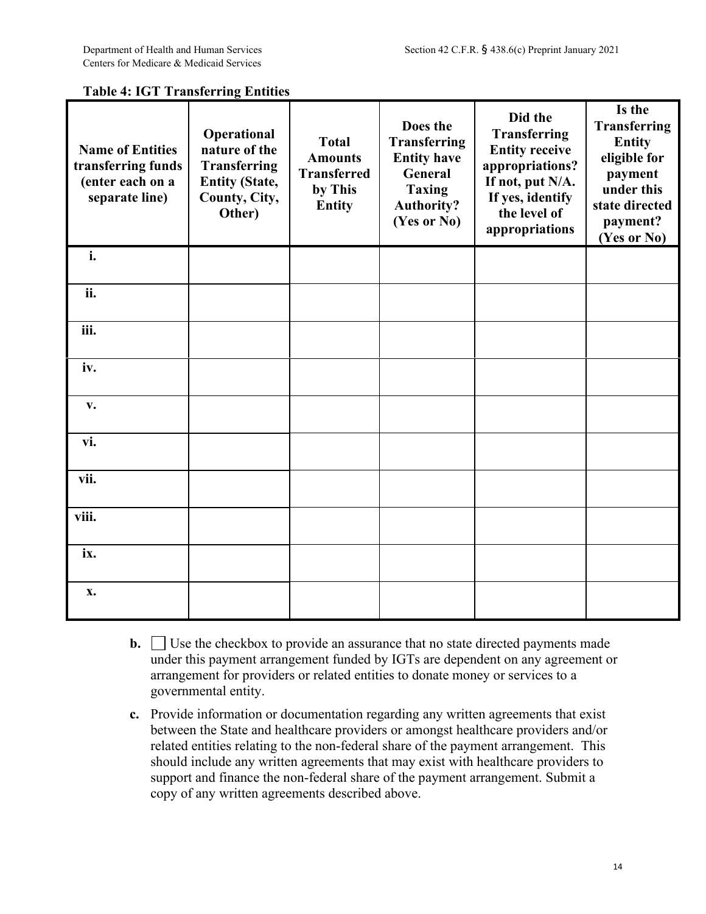| <b>Table 4: IGT Transferring Entities</b> |  |  |
|-------------------------------------------|--|--|
|                                           |  |  |

| <b>Name of Entities</b><br>transferring funds<br>(enter each on a<br>separate line) | Operational<br>nature of the<br><b>Transferring</b><br><b>Entity (State,</b><br>County, City,<br>Other) | <b>Total</b><br><b>Amounts</b><br><b>Transferred</b><br>by This<br><b>Entity</b> | Does the<br><b>Transferring</b><br><b>Entity have</b><br><b>General</b><br><b>Taxing</b><br><b>Authority?</b><br>(Yes or No) | Did the<br>Transferring<br><b>Entity receive</b><br>appropriations?<br>If not, put N/A.<br>If yes, identify<br>the level of<br>appropriations | Is the<br><b>Transferring</b><br><b>Entity</b><br>eligible for<br>payment<br>under this<br>state directed<br>payment?<br>(Yes or No) |
|-------------------------------------------------------------------------------------|---------------------------------------------------------------------------------------------------------|----------------------------------------------------------------------------------|------------------------------------------------------------------------------------------------------------------------------|-----------------------------------------------------------------------------------------------------------------------------------------------|--------------------------------------------------------------------------------------------------------------------------------------|
| i.                                                                                  |                                                                                                         |                                                                                  |                                                                                                                              |                                                                                                                                               |                                                                                                                                      |
| ii.                                                                                 |                                                                                                         |                                                                                  |                                                                                                                              |                                                                                                                                               |                                                                                                                                      |
| iii.                                                                                |                                                                                                         |                                                                                  |                                                                                                                              |                                                                                                                                               |                                                                                                                                      |
| iv.                                                                                 |                                                                                                         |                                                                                  |                                                                                                                              |                                                                                                                                               |                                                                                                                                      |
| v.                                                                                  |                                                                                                         |                                                                                  |                                                                                                                              |                                                                                                                                               |                                                                                                                                      |
| vi.                                                                                 |                                                                                                         |                                                                                  |                                                                                                                              |                                                                                                                                               |                                                                                                                                      |
| vii.                                                                                |                                                                                                         |                                                                                  |                                                                                                                              |                                                                                                                                               |                                                                                                                                      |
| viii.                                                                               |                                                                                                         |                                                                                  |                                                                                                                              |                                                                                                                                               |                                                                                                                                      |
| ix.                                                                                 |                                                                                                         |                                                                                  |                                                                                                                              |                                                                                                                                               |                                                                                                                                      |
| $\mathbf{X}$ .                                                                      |                                                                                                         |                                                                                  |                                                                                                                              |                                                                                                                                               |                                                                                                                                      |

- **b.**  $\Box$  Use the checkbox to provide an assurance that no state directed payments made under this payment arrangement funded by IGTs are dependent on any agreement or arrangement for providers or related entities to donate money or services to a governmental entity.
- **c.** Provide information or documentation regarding any written agreements that exist between the State and healthcare providers or amongst healthcare providers and/or related entities relating to the non-federal share of the payment arrangement. This should include any written agreements that may exist with healthcare providers to support and finance the non-federal share of the payment arrangement. Submit a copy of any written agreements described above.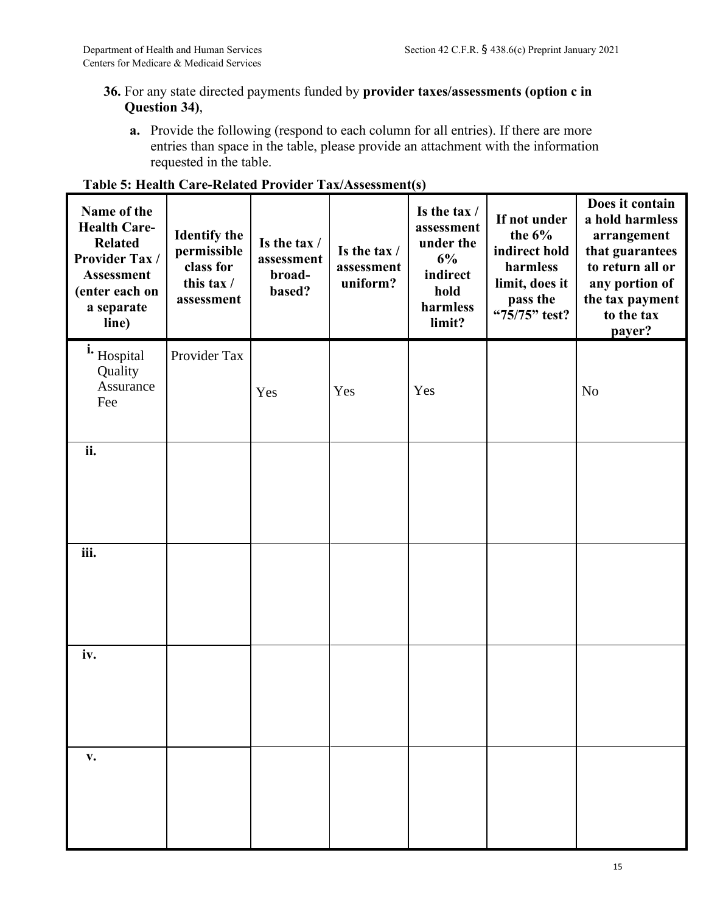# **36.** For any state directed payments funded by **provider taxes/assessments (option c in Question 34)**,

**a.** Provide the following (respond to each column for all entries). If there are more entries than space in the table, please provide an attachment with the information requested in the table.

| Name of the<br><b>Health Care-</b><br><b>Related</b><br>Provider Tax /<br><b>Assessment</b><br>(enter each on<br>a separate<br>line) | <b>Identify the</b><br>permissible<br>class for<br>this tax /<br>assessment | Is the tax /<br>assessment<br>broad-<br>based? | Is the tax /<br>assessment<br>uniform? | Is the tax /<br>assessment<br>under the<br>6%<br>indirect<br>hold<br>harmless<br>limit? | If not under<br>the $6\%$<br>indirect hold<br>harmless<br>limit, does it<br>pass the<br>"75/75" test? | Does it contain<br>a hold harmless<br>arrangement<br>that guarantees<br>to return all or<br>any portion of<br>the tax payment<br>to the tax<br>payer? |
|--------------------------------------------------------------------------------------------------------------------------------------|-----------------------------------------------------------------------------|------------------------------------------------|----------------------------------------|-----------------------------------------------------------------------------------------|-------------------------------------------------------------------------------------------------------|-------------------------------------------------------------------------------------------------------------------------------------------------------|
| i. Hospital<br>Quality<br>Assurance<br>Fee                                                                                           | Provider Tax                                                                | Yes                                            | Yes                                    | Yes                                                                                     |                                                                                                       | N <sub>o</sub>                                                                                                                                        |
| ii.                                                                                                                                  |                                                                             |                                                |                                        |                                                                                         |                                                                                                       |                                                                                                                                                       |
| iii.                                                                                                                                 |                                                                             |                                                |                                        |                                                                                         |                                                                                                       |                                                                                                                                                       |
| iv.                                                                                                                                  |                                                                             |                                                |                                        |                                                                                         |                                                                                                       |                                                                                                                                                       |
| $\mathbf{V}$ .                                                                                                                       |                                                                             |                                                |                                        |                                                                                         |                                                                                                       |                                                                                                                                                       |

### **Table 5: Health Care-Related Provider Tax/Assessment(s)**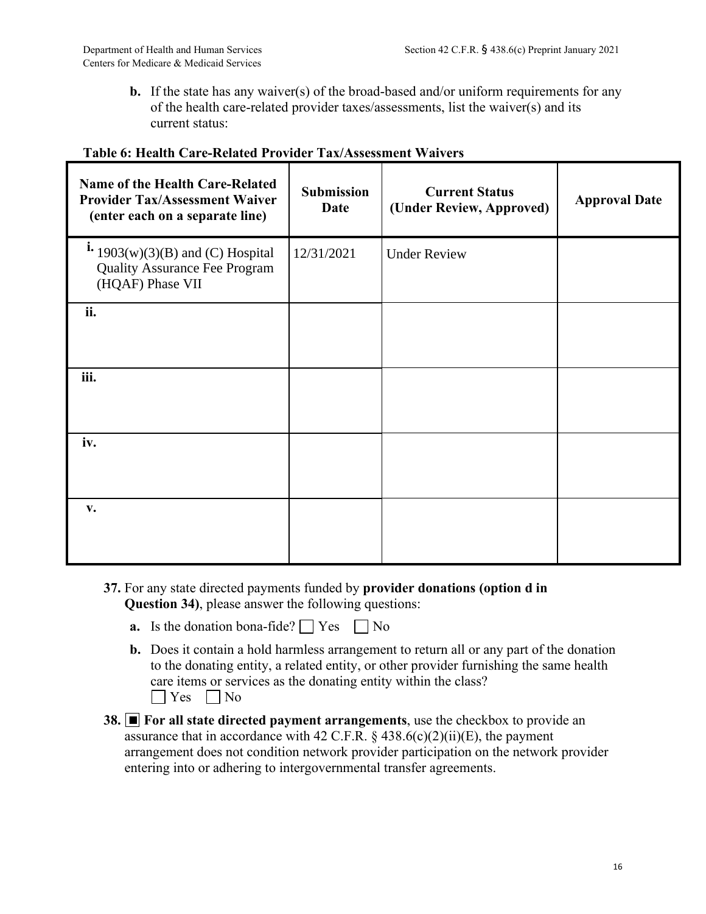**b.** If the state has any waiver(s) of the broad-based and/or uniform requirements for any of the health care-related provider taxes/assessments, list the waiver(s) and its current status:

| Name of the Health Care-Related<br><b>Provider Tax/Assessment Waiver</b><br>(enter each on a separate line) | <b>Submission</b><br><b>Date</b> | <b>Current Status</b><br>(Under Review, Approved) | <b>Approval Date</b> |
|-------------------------------------------------------------------------------------------------------------|----------------------------------|---------------------------------------------------|----------------------|
| $\mathbf{i}$ 1903(w)(3)(B) and (C) Hospital<br><b>Quality Assurance Fee Program</b><br>(HQAF) Phase VII     | 12/31/2021                       | <b>Under Review</b>                               |                      |
| ii.                                                                                                         |                                  |                                                   |                      |
| iii.                                                                                                        |                                  |                                                   |                      |
| iv.                                                                                                         |                                  |                                                   |                      |
| v.                                                                                                          |                                  |                                                   |                      |

### **Table 6: Health Care-Related Provider Tax/Assessment Waivers**

- **37.** For any state directed payments funded by **provider donations (option d in Question 34)**, please answer the following questions:
	- **a.** Is the donation bona-fide?  $\bigcap$  Yes  $\bigcap$  No
	- **b.** Does it contain a hold harmless arrangement to return all or any part of the donation to the donating entity, a related entity, or other provider furnishing the same health care items or services as the donating entity within the class?  $\vert$  Yes  $\vert$  No
- **38.** For all state directed payment arrangements, use the checkbox to provide an assurance that in accordance with 42 C.F.R.  $\S$  438.6(c)(2)(ii)(E), the payment arrangement does not condition network provider participation on the network provider entering into or adhering to intergovernmental transfer agreements.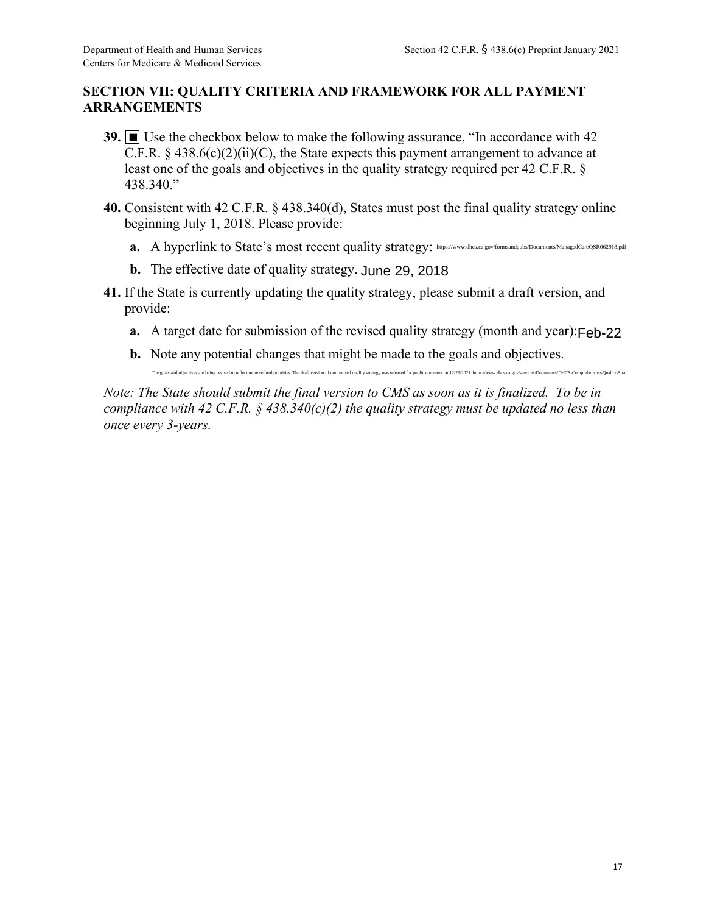# **SECTION VII: QUALITY CRITERIA AND FRAMEWORK FOR ALL PAYMENT ARRANGEMENTS**

- **39.** Use the checkbox below to make the following assurance, "In accordance with 42 C.F.R.  $\S$  438.6(c)(2)(ii)(C), the State expects this payment arrangement to advance at least one of the goals and objectives in the quality strategy required per 42 C.F.R. § 438.340."
- **40.** Consistent with 42 C.F.R. § 438.340(d), States must post the final quality strategy online beginning July 1, 2018. Please provide:
	- a. A hyperlink to State's most recent quality strategy: https://www.dhcs.ca.gov/formsandpubs/Documents/ManagedCareQSR062918.pdf
	- **b.** The effective date of quality strategy. June 29, 2018
- **41.** If the State is currently updating the quality strategy, please submit a draft version, and provide:
	- **a.** A target date for submission of the revised quality strategy (month and year): Feb-22
	- **b.** Note any potential changes that might be made to the goals and objectives.

The goals and objectives are being revised to reflect more refined priorities. The draft version of our revised quality strategy was released for public comment on 12/29/2021. https://www.dhex.ca.gov/services/Documents/DHC

*Note: The State should submit the final version to CMS as soon as it is finalized. To be in compliance with 42 C.F.R. § 438.340(c)(2) the quality strategy must be updated no less than once every 3-years.*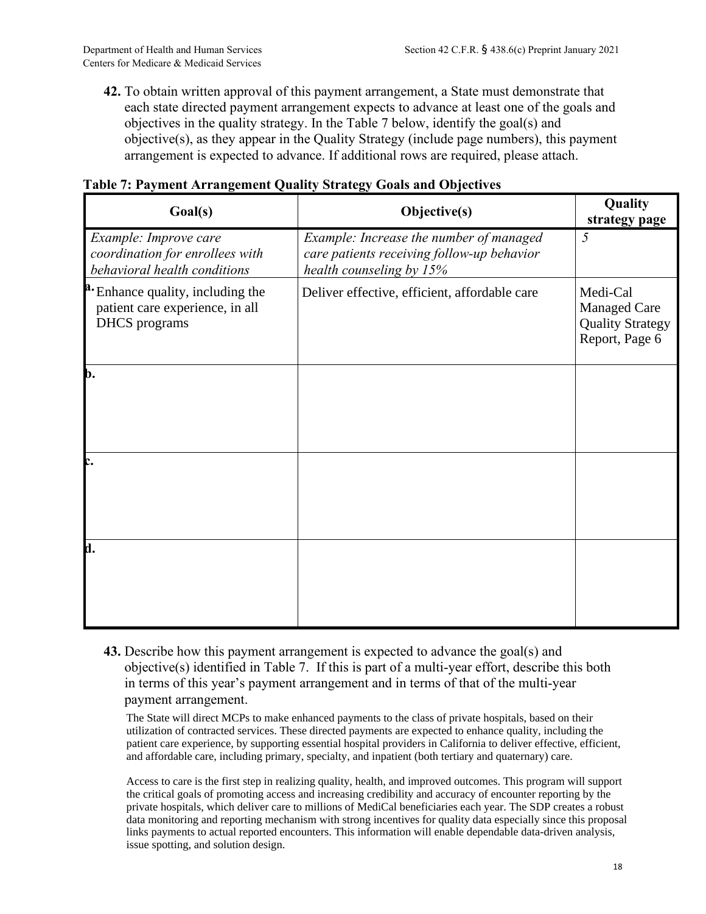**42.** To obtain written approval of this payment arrangement, a State must demonstrate that each state directed payment arrangement expects to advance at least one of the goals and objectives in the quality strategy. In the Table 7 below, identify the goal(s) and objective(s), as they appear in the Quality Strategy (include page numbers), this payment arrangement is expected to advance. If additional rows are required, please attach.

| Table 7: Payment Arrangement Quality Strategy Goals and Objectives |  |  |
|--------------------------------------------------------------------|--|--|
|--------------------------------------------------------------------|--|--|

| Goal(s)                                                                                   | Objective(s)                                                                                                      | Quality<br>strategy page                                                     |
|-------------------------------------------------------------------------------------------|-------------------------------------------------------------------------------------------------------------------|------------------------------------------------------------------------------|
| Example: Improve care<br>coordination for enrollees with<br>behavioral health conditions  | Example: Increase the number of managed<br>care patients receiving follow-up behavior<br>health counseling by 15% | 5                                                                            |
| Enhance quality, including the<br>patient care experience, in all<br><b>DHCS</b> programs | Deliver effective, efficient, affordable care                                                                     | Medi-Cal<br><b>Managed Care</b><br><b>Quality Strategy</b><br>Report, Page 6 |
| b.                                                                                        |                                                                                                                   |                                                                              |
| c.                                                                                        |                                                                                                                   |                                                                              |
| d.                                                                                        |                                                                                                                   |                                                                              |

**43.** Describe how this payment arrangement is expected to advance the goal(s) and objective(s) identified in Table 7. If this is part of a multi-year effort, describe this both in terms of this year's payment arrangement and in terms of that of the multi-year payment arrangement.

The State will direct MCPs to make enhanced payments to the class of private hospitals, based on their utilization of contracted services. These directed payments are expected to enhance quality, including the patient care experience, by supporting essential hospital providers in California to deliver effective, efficient, and affordable care, including primary, specialty, and inpatient (both tertiary and quaternary) care.

Access to care is the first step in realizing quality, health, and improved outcomes. This program will support the critical goals of promoting access and increasing credibility and accuracy of encounter reporting by the private hospitals, which deliver care to millions of MediCal beneficiaries each year. The SDP creates a robust data monitoring and reporting mechanism with strong incentives for quality data especially since this proposal links payments to actual reported encounters. This information will enable dependable data-driven analysis, issue spotting, and solution design.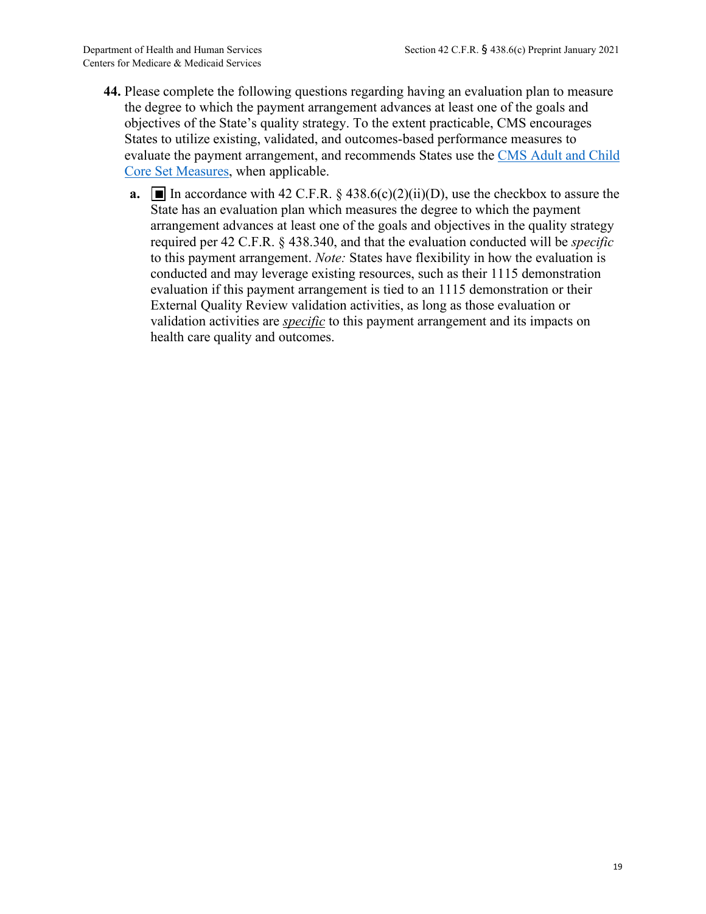- **44.** Please complete the following questions regarding having an evaluation plan to measure the degree to which the payment arrangement advances at least one of the goals and objectives of the State's quality strategy. To the extent practicable, CMS encourages States to utilize existing, validated, and outcomes-based performance measures to evaluate the payment arrangement, and recommends States use the [CMS Adult and Child](https://www.medicaid.gov/medicaid/quality-of-care/quality-of-care-performance-measurement/adult-and-child-health-care-quality-measures/index.html) [Core Set Measures,](https://www.medicaid.gov/medicaid/quality-of-care/quality-of-care-performance-measurement/adult-and-child-health-care-quality-measures/index.html) when applicable.
	- **a.**  $\blacksquare$  In accordance with 42 C.F.R. § 438.6(c)(2)(ii)(D), use the checkbox to assure the State has an evaluation plan which measures the degree to which the payment arrangement advances at least one of the goals and objectives in the quality strategy required per 42 C.F.R. § 438.340, and that the evaluation conducted will be *specific* to this payment arrangement. *Note:* States have flexibility in how the evaluation is conducted and may leverage existing resources, such as their 1115 demonstration evaluation if this payment arrangement is tied to an 1115 demonstration or their External Quality Review validation activities, as long as those evaluation or validation activities are *specific* to this payment arrangement and its impacts on health care quality and outcomes.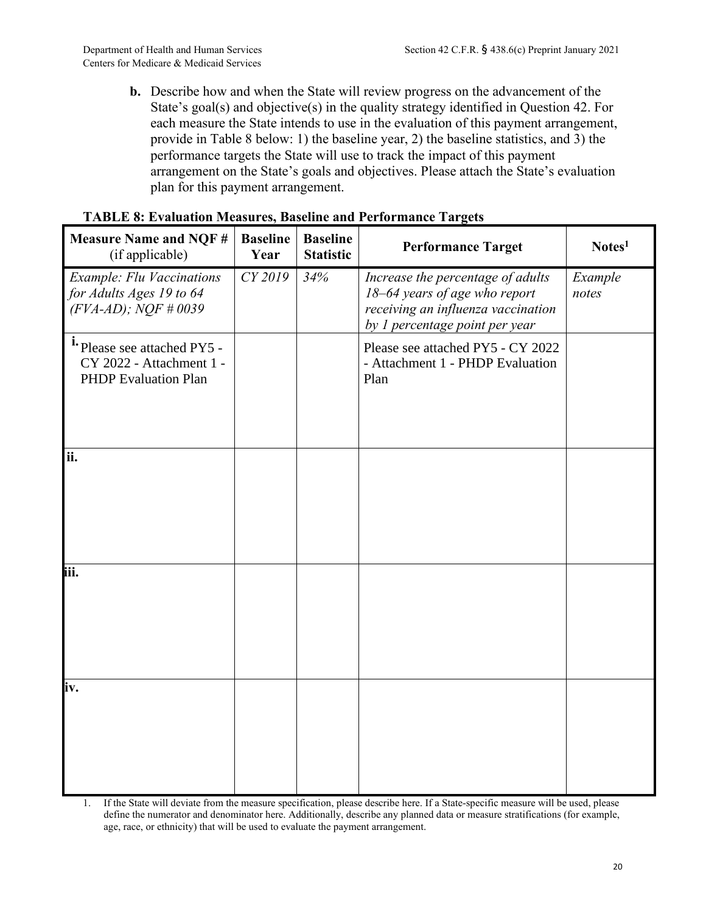**b.** Describe how and when the State will review progress on the advancement of the State's goal(s) and objective(s) in the quality strategy identified in Question 42. For each measure the State intends to use in the evaluation of this payment arrangement, provide in Table 8 below: 1) the baseline year, 2) the baseline statistics, and 3) the performance targets the State will use to track the impact of this payment arrangement on the State's goals and objectives. Please attach the State's evaluation plan for this payment arrangement.

| <b>Measure Name and NQF#</b><br>(if applicable)                                         | <b>Baseline</b><br>Year | <b>Baseline</b><br><b>Statistic</b> | <b>Performance Target</b>                                                                                                                  | Notes <sup>1</sup> |
|-----------------------------------------------------------------------------------------|-------------------------|-------------------------------------|--------------------------------------------------------------------------------------------------------------------------------------------|--------------------|
| <b>Example: Flu Vaccinations</b><br>for Adults Ages 19 to 64<br>$(FVA-AD)$ ; NQF #0039  | CY 2019                 | 34%                                 | Increase the percentage of adults<br>18-64 years of age who report<br>receiving an influenza vaccination<br>by 1 percentage point per year | Example<br>notes   |
| i. Please see attached PY5 -<br>CY 2022 - Attachment 1 -<br><b>PHDP</b> Evaluation Plan |                         |                                     | Please see attached PY5 - CY 2022<br>- Attachment 1 - PHDP Evaluation<br>Plan                                                              |                    |
| ii.                                                                                     |                         |                                     |                                                                                                                                            |                    |
| iii.                                                                                    |                         |                                     |                                                                                                                                            |                    |
| iv.                                                                                     |                         |                                     |                                                                                                                                            |                    |

### **TABLE 8: Evaluation Measures, Baseline and Performance Targets**

1. If the State will deviate from the measure specification, please describe here. If a State-specific measure will be used, please define the numerator and denominator here. Additionally, describe any planned data or measure stratifications (for example, age, race, or ethnicity) that will be used to evaluate the payment arrangement.